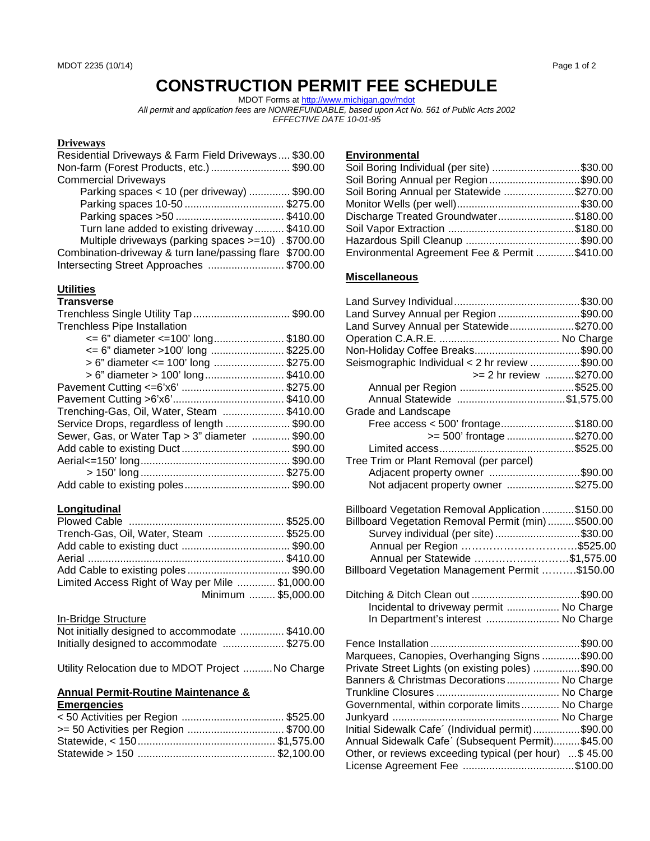# **CONSTRUCTION PERMIT FEE SCHEDULE**

MDOT Forms a[t http://www.michigan.gov/mdot](http://www.michigan.gov/mdot) *All permit and application fees are NONREFUNDABLE, based upon Act No. 561 of Public Acts 2002 EFFECTIVE DATE 10-01-95*

# **Driveways**

| Residential Driveways & Farm Field Driveways \$30.00    |  |
|---------------------------------------------------------|--|
| Non-farm (Forest Products, etc.)  \$90.00               |  |
| <b>Commercial Driveways</b>                             |  |
| Parking spaces < 10 (per driveway)  \$90.00             |  |
| Parking spaces 10-50 \$275.00                           |  |
|                                                         |  |
| Turn lane added to existing driveway  \$410.00          |  |
| Multiple driveways (parking spaces >=10) . \$700.00     |  |
| Combination-driveway & turn lane/passing flare \$700.00 |  |
| Intersecting Street Approaches  \$700.00                |  |

#### **Utilities**

#### **Transverse**

| Trenchless Single Utility Tap \$90.00                   |          |
|---------------------------------------------------------|----------|
| <b>Trenchless Pipe Installation</b>                     |          |
| $\epsilon$ = 6" diameter $\epsilon$ = 100' long\$180.00 |          |
| <= 6" diameter >100' long \$225.00                      |          |
| > 6" diameter <= 100' long \$275.00                     |          |
| > 6" diameter > 100' long                               | \$410.00 |
|                                                         | \$275.00 |
|                                                         | \$410.00 |
| Trenching-Gas, Oil, Water, Steam \$410.00               |          |
| Service Drops, regardless of length \$90.00             |          |
| Sewer, Gas, or Water Tap > 3" diameter  \$90.00         |          |
|                                                         |          |
|                                                         |          |
|                                                         |          |
|                                                         |          |
|                                                         |          |

# **Longitudinal**

| Trench-Gas, Oil, Water, Steam \$525.00           |  |
|--------------------------------------------------|--|
|                                                  |  |
|                                                  |  |
|                                                  |  |
| Limited Access Right of Way per Mile  \$1,000.00 |  |
| Minimum  \$5,000.00                              |  |

#### In-Bridge Structure

| Not initially designed to accommodate  \$410.00 |  |
|-------------------------------------------------|--|
| Initially designed to accommodate \$275.00      |  |

Utility Relocation due to MDOT Project ..........No Charge

#### **Annual Permit-Routine Maintenance & Emergencies**

| <50 Activities per Region  \$525.00  |  |
|--------------------------------------|--|
| >= 50 Activities per Region \$700.00 |  |
|                                      |  |
|                                      |  |
|                                      |  |

### **Environmental**

| Soil Boring Individual (per site) \$30.00      |  |
|------------------------------------------------|--|
| Soil Boring Annual per Region\$90.00           |  |
| Soil Boring Annual per Statewide \$270.00      |  |
|                                                |  |
| Discharge Treated Groundwater\$180.00          |  |
|                                                |  |
|                                                |  |
| Environmental Agreement Fee & Permit  \$410.00 |  |

## **Miscellaneous**

| Land Survey Annual per Region \$90.00                  |  |
|--------------------------------------------------------|--|
| Land Survey Annual per Statewide\$270.00               |  |
|                                                        |  |
|                                                        |  |
| Seismographic Individual < 2 hr review \$90.00         |  |
| >= 2 hr review \$270.00                                |  |
|                                                        |  |
| Annual Statewide \$1,575.00                            |  |
| Grade and Landscape                                    |  |
| Free access < 500' frontage\$180.00                    |  |
| >= 500' frontage \$270.00                              |  |
|                                                        |  |
| Tree Trim or Plant Removal (per parcel)                |  |
| Adjacent property owner \$90.00                        |  |
| Not adjacent property owner \$275.00                   |  |
|                                                        |  |
| Billboard Vegetation Removal Application \$150.00      |  |
| Billboard Vegetation Removal Permit (min)  \$500.00    |  |
| Survey individual (per site) \$30.00                   |  |
| Annual per Region \$525.00                             |  |
| Annual per Statewide \$1,575.00                        |  |
| Billboard Vegetation Management Permit \$150.00        |  |
|                                                        |  |
|                                                        |  |
| Incidental to driveway permit  No Charge               |  |
| In Department's interest  No Charge                    |  |
|                                                        |  |
|                                                        |  |
| Marquees, Canopies, Overhanging Signs \$90.00          |  |
| Private Street Lights (on existing poles) \$90.00      |  |
| Banners & Christmas Decorations No Charge              |  |
|                                                        |  |
| Governmental, within corporate limits No Charge        |  |
|                                                        |  |
| Initial Sidewalk Cafe' (Individual permit)\$90.00      |  |
| Annual Sidewalk Cafe' (Subsequent Permit) \$45.00      |  |
| Other, or reviews exceeding typical (per hour) \$45.00 |  |
|                                                        |  |
|                                                        |  |